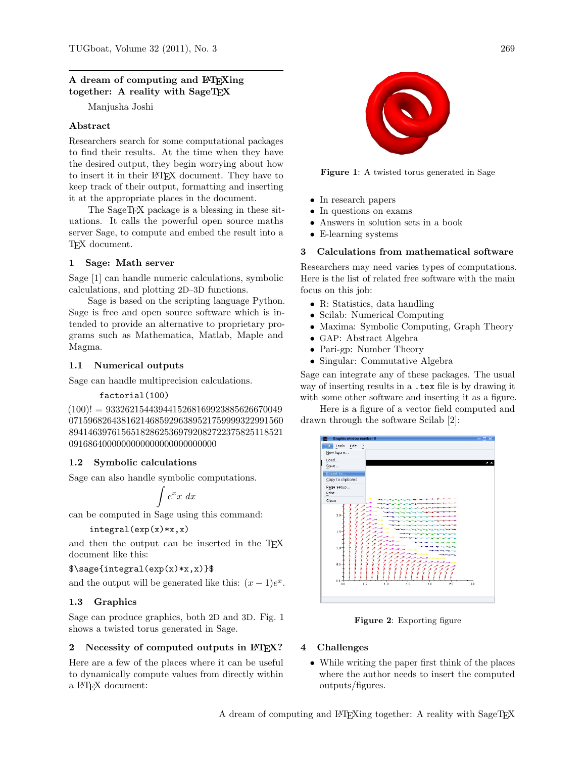## A dream of computing and LAT<sub>EX</sub>ing together: A reality with SageTEX

Manjusha Joshi

## Abstract

Researchers search for some computational packages to find their results. At the time when they have the desired output, they begin worrying about how to insert it in their LATEX document. They have to keep track of their output, formatting and inserting it at the appropriate places in the document.

The SageT<sub>F</sub>X package is a blessing in these situations. It calls the powerful open source maths server Sage, to compute and embed the result into a TEX document.

## 1 Sage: Math server

Sage [\[1\]](#page-2-0) can handle numeric calculations, symbolic calculations, and plotting 2D–3D functions.

Sage is based on the scripting language Python. Sage is free and open source software which is intended to provide an alternative to proprietary programs such as Mathematica, Matlab, Maple and Magma.

# 1.1 Numerical outputs

Sage can handle multiprecision calculations.

### factorial(100)

 $(100)! = 9332621544394415268169923885626670049$ 071596826438162146859296389521759999322991560 894146397615651828625369792082722375825118521 0916864000000000000000000000000

# 1.2 Symbolic calculations

Sage can also handle symbolic computations.

$$
\int e^x x \ dx
$$

can be computed in Sage using this command:

$$
integral(exp(x)*x, x)
$$

and then the output can be inserted in the T<sub>E</sub>X document like this:

\$\sage{integral(exp(x)\*x,x)}\$

and the output will be generated like this:  $(x - 1)e^x$ .

# 1.3 Graphics

Sage can produce graphics, both 2D and 3D. Fig. [1](#page-0-0) shows a twisted torus generated in Sage.

# 2 Necessity of computed outputs in LATEX?

Here are a few of the places where it can be useful to dynamically compute values from directly within a LATEX document:



Figure 1: A twisted torus generated in Sage

- <span id="page-0-0"></span>• In research papers
- In questions on exams
- Answers in solution sets in a book
- E-learning systems

## 3 Calculations from mathematical software

Researchers may need varies types of computations. Here is the list of related free software with the main focus on this job:

- R: Statistics, data handling
- Scilab: Numerical Computing
- Maxima: Symbolic Computing, Graph Theory
- GAP: Abstract Algebra
- Pari-gp: Number Theory
- Singular: Commutative Algebra

Sage can integrate any of these packages. The usual way of inserting results in a <.tex> file is by drawing it with some other software and inserting it as a figure.

Here is a figure of a vector field computed and drawn through the software Scilab [\[2\]](#page-2-1):



Figure 2: Exporting figure

### 4 Challenges

• While writing the paper first think of the places where the author needs to insert the computed outputs/figures.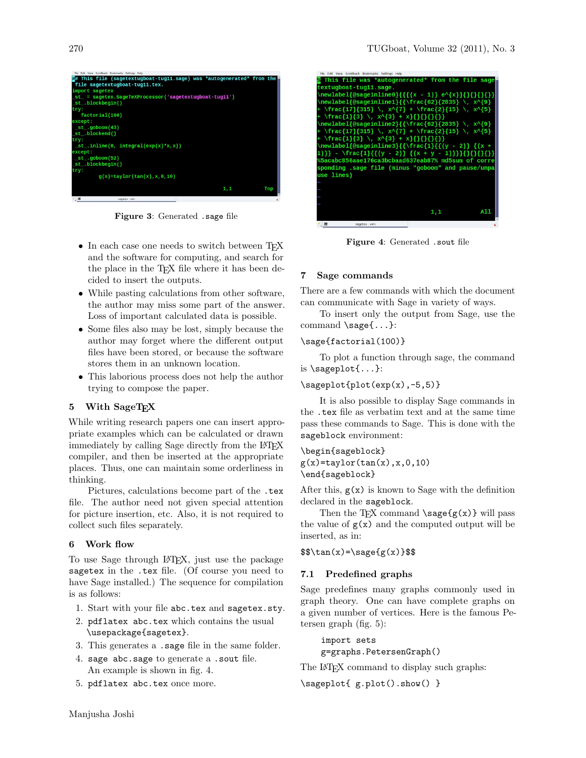

Figure 3: Generated .sage file

- In each case one needs to switch between TEX and the software for computing, and search for the place in the TEX file where it has been decided to insert the outputs.
- While pasting calculations from other software, the author may miss some part of the answer. Loss of important calculated data is possible.
- Some files also may be lost, simply because the author may forget where the different output files have been stored, or because the software stores them in an unknown location.
- This laborious process does not help the author trying to compose the paper.

### 5 With SageTFX

While writing research papers one can insert appropriate examples which can be calculated or drawn immediately by calling Sage directly from the LATEX compiler, and then be inserted at the appropriate places. Thus, one can maintain some orderliness in thinking.

Pictures, calculations become part of the <.tex> file. The author need not given special attention for picture insertion, etc. Also, it is not required to collect such files separately.

#### 6 Work flow

To use Sage through LATEX, just use the package sagetex in the <.tex> file. (Of course you need to have Sage installed.) The sequence for compilation is as follows:

- 1. Start with your file <abc.tex> and <sagetex.sty>.
- 2. pdflatex abc.tex which contains the usual \usepackage{sagetex}.
- 3. This generates a .sage file in the same folder.
- 4. sage abc.sage to generate a .sout file. An example is shown in fig. [4.](#page-1-0)
- 5. pdflatex abc.tex once more.



Figure 4: Generated <.sout> file

### <span id="page-1-0"></span>7 Sage commands

There are a few commands with which the document can communicate with Sage in variety of ways.

To insert only the output from Sage, use the command \sage{...}:

### \sage{factorial(100)}

To plot a function through sage, the command is \sageplot{...}:

#### $\simeq$  \sageplot{plot(exp(x),-5,5)}

It is also possible to display Sage commands in the <.tex> file as verbatim text and at the same time pass these commands to Sage. This is done with the sageblock environment:

\begin{sageblock}  $g(x) = taylor(tan(x),x,0,10)$ \end{sageblock}

After this,  $g(x)$  is known to Sage with the definition declared in the sageblock.

Then the T<sub>F</sub>X command  $\simeq$   $\{g(x)\}\$  will pass the value of  $g(x)$  and the computed output will be inserted, as in:

 $\frac{x}{=}\s{g(x)}$ 

#### 7.1 Predefined graphs

Sage predefines many graphs commonly used in graph theory. One can have complete graphs on a given number of vertices. Here is the famous Petersen graph (fig. [5\)](#page-2-2):

import sets g=graphs.PetersenGraph()

The LAT<sub>EX</sub> command to display such graphs:

\sageplot{ g.plot().show() }